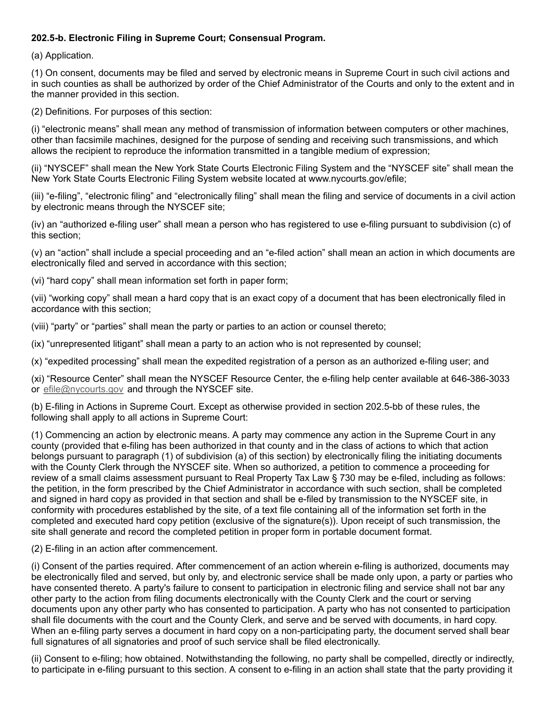## 202.5-b. Electronic Filing in Supreme Court; Consensual Program.

(a) Application.

(1) On consent, documents may be filed and served by electronic means in Supreme Court in such civil actions and in such counties as shall be authorized by order of the Chief Administrator of the Courts and only to the extent and in the manner provided in this section.

(2) Definitions. For purposes of this section:

(i) "electronic means" shall mean any method of transmission of information between computers or other machines, other than facsimile machines, designed for the purpose of sending and receiving such transmissions, and which allows the recipient to reproduce the information transmitted in a tangible medium of expression;

(ii) "NYSCEF" shall mean the New York State Courts Electronic Filing System and the "NYSCEF site" shall mean the New York State Courts Electronic Filing System website located at www.nycourts.gov/efile;

(iii) "e-filing", "electronic filing" and "electronically filing" shall mean the filing and service of documents in a civil action by electronic means through the NYSCEF site;

(iv) an "authorized e-filing user" shall mean a person who has registered to use e-filing pursuant to subdivision (c) of this section;

(v) an "action" shall include a special proceeding and an "e-filed action" shall mean an action in which documents are electronically filed and served in accordance with this section;

(vi) "hard copy" shall mean information set forth in paper form;

(vii) "working copy" shall mean a hard copy that is an exact copy of a document that has been electronically filed in accordance with this section;

(viii) "party" or "parties" shall mean the party or parties to an action or counsel thereto;

(ix) "unrepresented litigant" shall mean a party to an action who is not represented by counsel;

(x) "expedited processing" shall mean the expedited registration of a person as an authorized e-filing user; and

(xi) "Resource Center" shall mean the NYSCEF Resource Center, the e-filing help center available at 646-386-3033 or [efile@nycourts.gov](mailto:efile@nycourts.gov) and through the NYSCEF site.

(b) E-filing in Actions in Supreme Court. Except as otherwise provided in section 202.5-bb of these rules, the following shall apply to all actions in Supreme Court:

(1) Commencing an action by electronic means. A party may commence any action in the Supreme Court in any county (provided that e-filing has been authorized in that county and in the class of actions to which that action belongs pursuant to paragraph (1) of subdivision (a) of this section) by electronically filing the initiating documents with the County Clerk through the NYSCEF site. When so authorized, a petition to commence a proceeding for review of a small claims assessment pursuant to Real Property Tax Law § 730 may be e-filed, including as follows: the petition, in the form prescribed by the Chief Administrator in accordance with such section, shall be completed and signed in hard copy as provided in that section and shall be e-filed by transmission to the NYSCEF site, in conformity with procedures established by the site, of a text file containing all of the information set forth in the completed and executed hard copy petition (exclusive of the signature(s)). Upon receipt of such transmission, the site shall generate and record the completed petition in proper form in portable document format.

## (2) E-filing in an action after commencement.

(i) Consent of the parties required. After commencement of an action wherein e-filing is authorized, documents may be electronically filed and served, but only by, and electronic service shall be made only upon, a party or parties who have consented thereto. A party's failure to consent to participation in electronic filing and service shall not bar any other party to the action from filing documents electronically with the County Clerk and the court or serving documents upon any other party who has consented to participation. A party who has not consented to participation shall file documents with the court and the County Clerk, and serve and be served with documents, in hard copy. When an e-filing party serves a document in hard copy on a non-participating party, the document served shall bear full signatures of all signatories and proof of such service shall be filed electronically.

(ii) Consent to e-filing; how obtained. Notwithstanding the following, no party shall be compelled, directly or indirectly, to participate in e-filing pursuant to this section. A consent to e-filing in an action shall state that the party providing it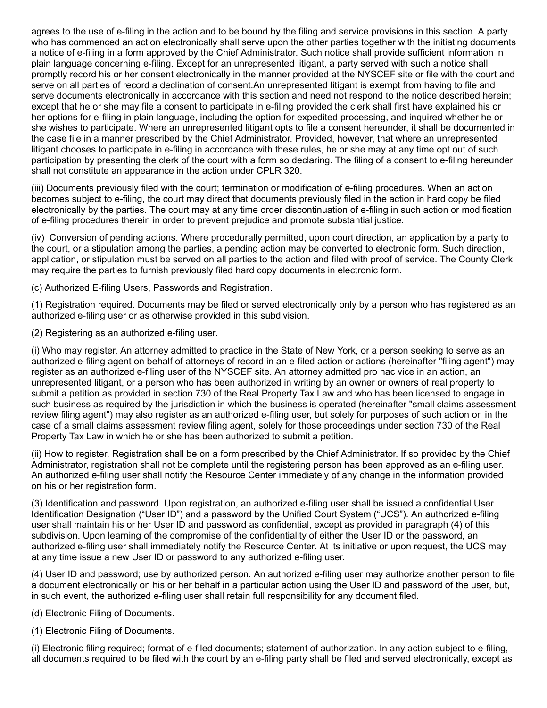agrees to the use of e-filing in the action and to be bound by the filing and service provisions in this section. A party who has commenced an action electronically shall serve upon the other parties together with the initiating documents a notice of e-filing in a form approved by the Chief Administrator. Such notice shall provide sufficient information in plain language concerning e-filing. Except for an unrepresented litigant, a party served with such a notice shall promptly record his or her consent electronically in the manner provided at the NYSCEF site or file with the court and serve on all parties of record a declination of consent.An unrepresented litigant is exempt from having to file and serve documents electronically in accordance with this section and need not respond to the notice described herein; except that he or she may file a consent to participate in e-filing provided the clerk shall first have explained his or her options for e-filing in plain language, including the option for expedited processing, and inquired whether he or she wishes to participate. Where an unrepresented litigant opts to file a consent hereunder, it shall be documented in the case file in a manner prescribed by the Chief Administrator. Provided, however, that where an unrepresented litigant chooses to participate in e-filing in accordance with these rules, he or she may at any time opt out of such participation by presenting the clerk of the court with a form so declaring. The filing of a consent to e-filing hereunder shall not constitute an appearance in the action under CPLR 320.

(iii) Documents previously filed with the court; termination or modification of e-filing procedures. When an action becomes subject to e-filing, the court may direct that documents previously filed in the action in hard copy be filed electronically by the parties. The court may at any time order discontinuation of e-filing in such action or modification of e-filing procedures therein in order to prevent prejudice and promote substantial justice.

(iv) Conversion of pending actions. Where procedurally permitted, upon court direction, an application by a party to the court, or a stipulation among the parties, a pending action may be converted to electronic form. Such direction, application, or stipulation must be served on all parties to the action and filed with proof of service. The County Clerk may require the parties to furnish previously filed hard copy documents in electronic form.

(c) Authorized E-filing Users, Passwords and Registration.

(1) Registration required. Documents may be filed or served electronically only by a person who has registered as an authorized e-filing user or as otherwise provided in this subdivision.

(2) Registering as an authorized e-filing user.

(i) Who may register. An attorney admitted to practice in the State of New York, or a person seeking to serve as an authorized e-filing agent on behalf of attorneys of record in an e-filed action or actions (hereinafter "filing agent") may register as an authorized e-filing user of the NYSCEF site. An attorney admitted pro hac vice in an action, an unrepresented litigant, or a person who has been authorized in writing by an owner or owners of real property to submit a petition as provided in section 730 of the Real Property Tax Law and who has been licensed to engage in such business as required by the jurisdiction in which the business is operated (hereinafter "small claims assessment review filing agent") may also register as an authorized e-filing user, but solely for purposes of such action or, in the case of a small claims assessment review filing agent, solely for those proceedings under section 730 of the Real Property Tax Law in which he or she has been authorized to submit a petition.

(ii) How to register. Registration shall be on a form prescribed by the Chief Administrator. If so provided by the Chief Administrator, registration shall not be complete until the registering person has been approved as an e-filing user. An authorized e-filing user shall notify the Resource Center immediately of any change in the information provided on his or her registration form.

(3) Identification and password. Upon registration, an authorized e-filing user shall be issued a confidential User Identification Designation ("User ID") and a password by the Unified Court System ("UCS"). An authorized e-filing user shall maintain his or her User ID and password as confidential, except as provided in paragraph (4) of this subdivision. Upon learning of the compromise of the confidentiality of either the User ID or the password, an authorized e-filing user shall immediately notify the Resource Center. At its initiative or upon request, the UCS may at any time issue a new User ID or password to any authorized e-filing user.

(4) User ID and password; use by authorized person. An authorized e-filing user may authorize another person to file a document electronically on his or her behalf in a particular action using the User ID and password of the user, but, in such event, the authorized e-filing user shall retain full responsibility for any document filed.

(d) Electronic Filing of Documents.

(1) Electronic Filing of Documents.

(i) Electronic filing required; format of e-filed documents; statement of authorization. In any action subject to e-filing, all documents required to be filed with the court by an e-filing party shall be filed and served electronically, except as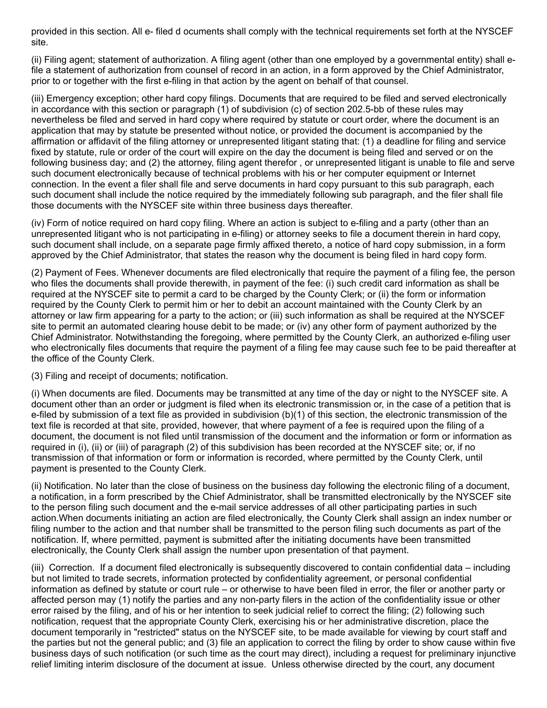provided in this section. All e- filed d ocuments shall comply with the technical requirements set forth at the NYSCEF site.

(ii) Filing agent; statement of authorization. A filing agent (other than one employed by a governmental entity) shall efile a statement of authorization from counsel of record in an action, in a form approved by the Chief Administrator, prior to or together with the first e-filing in that action by the agent on behalf of that counsel.

(iii) Emergency exception; other hard copy filings. Documents that are required to be filed and served electronically in accordance with this section or paragraph (1) of subdivision (c) of section 202.5-bb of these rules may nevertheless be filed and served in hard copy where required by statute or court order, where the document is an application that may by statute be presented without notice, or provided the document is accompanied by the affirmation or affidavit of the filing attorney or unrepresented litigant stating that: (1) a deadline for filing and service fixed by statute, rule or order of the court will expire on the day the document is being filed and served or on the following business day; and (2) the attorney, filing agent therefor , or unrepresented litigant is unable to file and serve such document electronically because of technical problems with his or her computer equipment or Internet connection. In the event a filer shall file and serve documents in hard copy pursuant to this sub paragraph, each such document shall include the notice required by the immediately following sub paragraph, and the filer shall file those documents with the NYSCEF site within three business days thereafter.

(iv) Form of notice required on hard copy filing. Where an action is subject to e-filing and a party (other than an unrepresented litigant who is not participating in e-filing) or attorney seeks to file a document therein in hard copy, such document shall include, on a separate page firmly affixed thereto, a notice of hard copy submission, in a form approved by the Chief Administrator, that states the reason why the document is being filed in hard copy form.

(2) Payment of Fees. Whenever documents are filed electronically that require the payment of a filing fee, the person who files the documents shall provide therewith, in payment of the fee: (i) such credit card information as shall be required at the NYSCEF site to permit a card to be charged by the County Clerk; or (ii) the form or information required by the County Clerk to permit him or her to debit an account maintained with the County Clerk by an attorney or law firm appearing for a party to the action; or (iii) such information as shall be required at the NYSCEF site to permit an automated clearing house debit to be made; or (iv) any other form of payment authorized by the Chief Administrator. Notwithstanding the foregoing, where permitted by the County Clerk, an authorized e-filing user who electronically files documents that require the payment of a filing fee may cause such fee to be paid thereafter at the office of the County Clerk.

(3) Filing and receipt of documents; notification.

(i) When documents are filed. Documents may be transmitted at any time of the day or night to the NYSCEF site. A document other than an order or judgment is filed when its electronic transmission or, in the case of a petition that is e-filed by submission of a text file as provided in subdivision (b)(1) of this section, the electronic transmission of the text file is recorded at that site, provided, however, that where payment of a fee is required upon the filing of a document, the document is not filed until transmission of the document and the information or form or information as required in (i), (ii) or (iii) of paragraph (2) of this subdivision has been recorded at the NYSCEF site; or, if no transmission of that information or form or information is recorded, where permitted by the County Clerk, until payment is presented to the County Clerk.

(ii) Notification. No later than the close of business on the business day following the electronic filing of a document, a notification, in a form prescribed by the Chief Administrator, shall be transmitted electronically by the NYSCEF site to the person filing such document and the e-mail service addresses of all other participating parties in such action.When documents initiating an action are filed electronically, the County Clerk shall assign an index number or filing number to the action and that number shall be transmitted to the person filing such documents as part of the notification. If, where permitted, payment is submitted after the initiating documents have been transmitted electronically, the County Clerk shall assign the number upon presentation of that payment.

(iii) Correction. If a document filed electronically is subsequently discovered to contain confidential data – including but not limited to trade secrets, information protected by confidentiality agreement, or personal confidential information as defined by statute or court rule – or otherwise to have been filed in error, the filer or another party or affected person may (1) notify the parties and any non-party filers in the action of the confidentiality issue or other error raised by the filing, and of his or her intention to seek judicial relief to correct the filing; (2) following such notification, request that the appropriate County Clerk, exercising his or her administrative discretion, place the document temporarily in "restricted" status on the NYSCEF site, to be made available for viewing by court staff and the parties but not the general public; and (3) file an application to correct the filing by order to show cause within five business days of such notification (or such time as the court may direct), including a request for preliminary injunctive relief limiting interim disclosure of the document at issue. Unless otherwise directed by the court, any document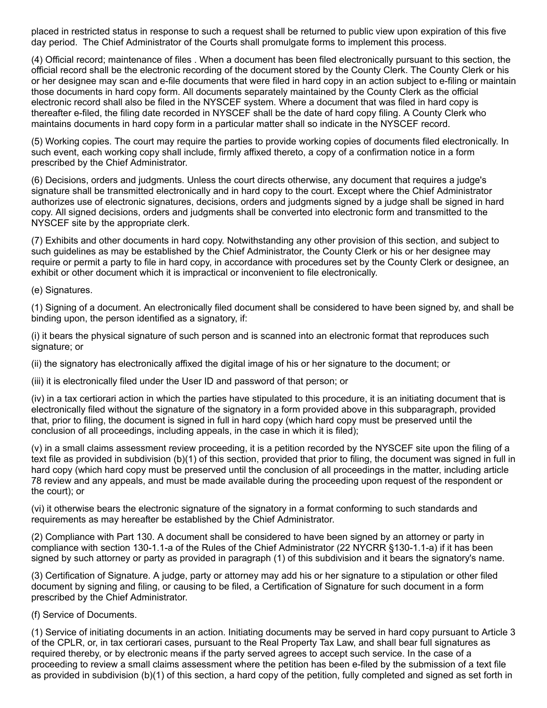placed in restricted status in response to such a request shall be returned to public view upon expiration of this five day period. The Chief Administrator of the Courts shall promulgate forms to implement this process.

(4) Official record; maintenance of files . When a document has been filed electronically pursuant to this section, the official record shall be the electronic recording of the document stored by the County Clerk. The County Clerk or his or her designee may scan and e-file documents that were filed in hard copy in an action subject to e-filing or maintain those documents in hard copy form. All documents separately maintained by the County Clerk as the official electronic record shall also be filed in the NYSCEF system. Where a document that was filed in hard copy is thereafter e-filed, the filing date recorded in NYSCEF shall be the date of hard copy filing. A County Clerk who maintains documents in hard copy form in a particular matter shall so indicate in the NYSCEF record.

(5) Working copies. The court may require the parties to provide working copies of documents filed electronically. In such event, each working copy shall include, firmly affixed thereto, a copy of a confirmation notice in a form prescribed by the Chief Administrator.

(6) Decisions, orders and judgments. Unless the court directs otherwise, any document that requires a judge's signature shall be transmitted electronically and in hard copy to the court. Except where the Chief Administrator authorizes use of electronic signatures, decisions, orders and judgments signed by a judge shall be signed in hard copy. All signed decisions, orders and judgments shall be converted into electronic form and transmitted to the NYSCEF site by the appropriate clerk.

(7) Exhibits and other documents in hard copy. Notwithstanding any other provision of this section, and subject to such guidelines as may be established by the Chief Administrator, the County Clerk or his or her designee may require or permit a party to file in hard copy, in accordance with procedures set by the County Clerk or designee, an exhibit or other document which it is impractical or inconvenient to file electronically.

(e) Signatures.

(1) Signing of a document. An electronically filed document shall be considered to have been signed by, and shall be binding upon, the person identified as a signatory, if:

(i) it bears the physical signature of such person and is scanned into an electronic format that reproduces such signature; or

(ii) the signatory has electronically affixed the digital image of his or her signature to the document; or

(iii) it is electronically filed under the User ID and password of that person; or

(iv) in a tax certiorari action in which the parties have stipulated to this procedure, it is an initiating document that is electronically filed without the signature of the signatory in a form provided above in this subparagraph, provided that, prior to filing, the document is signed in full in hard copy (which hard copy must be preserved until the conclusion of all proceedings, including appeals, in the case in which it is filed);

(v) in a small claims assessment review proceeding, it is a petition recorded by the NYSCEF site upon the filing of a text file as provided in subdivision (b)(1) of this section, provided that prior to filing, the document was signed in full in hard copy (which hard copy must be preserved until the conclusion of all proceedings in the matter, including article 78 review and any appeals, and must be made available during the proceeding upon request of the respondent or the court); or

(vi) it otherwise bears the electronic signature of the signatory in a format conforming to such standards and requirements as may hereafter be established by the Chief Administrator.

(2) Compliance with Part 130. A document shall be considered to have been signed by an attorney or party in compliance with section 130-1.1-a of the Rules of the Chief Administrator (22 NYCRR §130-1.1-a) if it has been signed by such attorney or party as provided in paragraph (1) of this subdivision and it bears the signatory's name.

(3) Certification of Signature. A judge, party or attorney may add his or her signature to a stipulation or other filed document by signing and filing, or causing to be filed, a Certification of Signature for such document in a form prescribed by the Chief Administrator.

(f) Service of Documents.

(1) Service of initiating documents in an action. Initiating documents may be served in hard copy pursuant to Article 3 of the CPLR, or, in tax certiorari cases, pursuant to the Real Property Tax Law, and shall bear full signatures as required thereby, or by electronic means if the party served agrees to accept such service. In the case of a proceeding to review a small claims assessment where the petition has been e-filed by the submission of a text file as provided in subdivision (b)(1) of this section, a hard copy of the petition, fully completed and signed as set forth in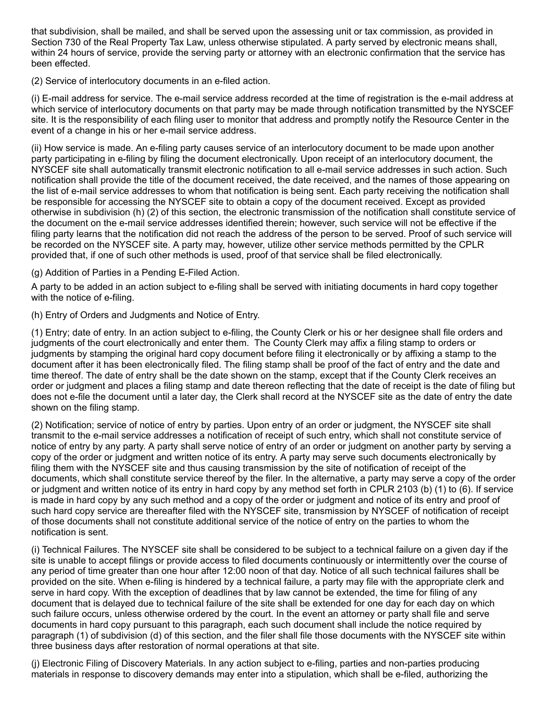that subdivision, shall be mailed, and shall be served upon the assessing unit or tax commission, as provided in Section 730 of the Real Property Tax Law, unless otherwise stipulated. A party served by electronic means shall, within 24 hours of service, provide the serving party or attorney with an electronic confirmation that the service has been effected.

(2) Service of interlocutory documents in an e-filed action.

(i) E-mail address for service. The e-mail service address recorded at the time of registration is the e-mail address at which service of interlocutory documents on that party may be made through notification transmitted by the NYSCEF site. It is the responsibility of each filing user to monitor that address and promptly notify the Resource Center in the event of a change in his or her e-mail service address.

(ii) How service is made. An e-filing party causes service of an interlocutory document to be made upon another party participating in e-filing by filing the document electronically. Upon receipt of an interlocutory document, the NYSCEF site shall automatically transmit electronic notification to all e-mail service addresses in such action. Such notification shall provide the title of the document received, the date received, and the names of those appearing on the list of e-mail service addresses to whom that notification is being sent. Each party receiving the notification shall be responsible for accessing the NYSCEF site to obtain a copy of the document received. Except as provided otherwise in subdivision (h) (2) of this section, the electronic transmission of the notification shall constitute service of the document on the e-mail service addresses identified therein; however, such service will not be effective if the filing party learns that the notification did not reach the address of the person to be served. Proof of such service will be recorded on the NYSCEF site. A party may, however, utilize other service methods permitted by the CPLR provided that, if one of such other methods is used, proof of that service shall be filed electronically.

(g) Addition of Parties in a Pending E-Filed Action.

A party to be added in an action subject to e-filing shall be served with initiating documents in hard copy together with the notice of e-filing.

(h) Entry of Orders and Judgments and Notice of Entry.

(1) Entry; date of entry. In an action subject to e-filing, the County Clerk or his or her designee shall file orders and judgments of the court electronically and enter them. The County Clerk may affix a filing stamp to orders or judgments by stamping the original hard copy document before filing it electronically or by affixing a stamp to the document after it has been electronically filed. The filing stamp shall be proof of the fact of entry and the date and time thereof. The date of entry shall be the date shown on the stamp, except that if the County Clerk receives an order or judgment and places a filing stamp and date thereon reflecting that the date of receipt is the date of filing but does not e-file the document until a later day, the Clerk shall record at the NYSCEF site as the date of entry the date shown on the filing stamp.

(2) Notification; service of notice of entry by parties. Upon entry of an order or judgment, the NYSCEF site shall transmit to the e-mail service addresses a notification of receipt of such entry, which shall not constitute service of notice of entry by any party. A party shall serve notice of entry of an order or judgment on another party by serving a copy of the order or judgment and written notice of its entry. A party may serve such documents electronically by filing them with the NYSCEF site and thus causing transmission by the site of notification of receipt of the documents, which shall constitute service thereof by the filer. In the alternative, a party may serve a copy of the order or judgment and written notice of its entry in hard copy by any method set forth in CPLR 2103 (b) (1) to (6). If service is made in hard copy by any such method and a copy of the order or judgment and notice of its entry and proof of such hard copy service are thereafter filed with the NYSCEF site, transmission by NYSCEF of notification of receipt of those documents shall not constitute additional service of the notice of entry on the parties to whom the notification is sent.

(i) Technical Failures. The NYSCEF site shall be considered to be subject to a technical failure on a given day if the site is unable to accept filings or provide access to filed documents continuously or intermittently over the course of any period of time greater than one hour after 12:00 noon of that day. Notice of all such technical failures shall be provided on the site. When e-filing is hindered by a technical failure, a party may file with the appropriate clerk and serve in hard copy. With the exception of deadlines that by law cannot be extended, the time for filing of any document that is delayed due to technical failure of the site shall be extended for one day for each day on which such failure occurs, unless otherwise ordered by the court. In the event an attorney or party shall file and serve documents in hard copy pursuant to this paragraph, each such document shall include the notice required by paragraph (1) of subdivision (d) of this section, and the filer shall file those documents with the NYSCEF site within three business days after restoration of normal operations at that site.

(j) Electronic Filing of Discovery Materials. In any action subject to e-filing, parties and non-parties producing materials in response to discovery demands may enter into a stipulation, which shall be e-filed, authorizing the